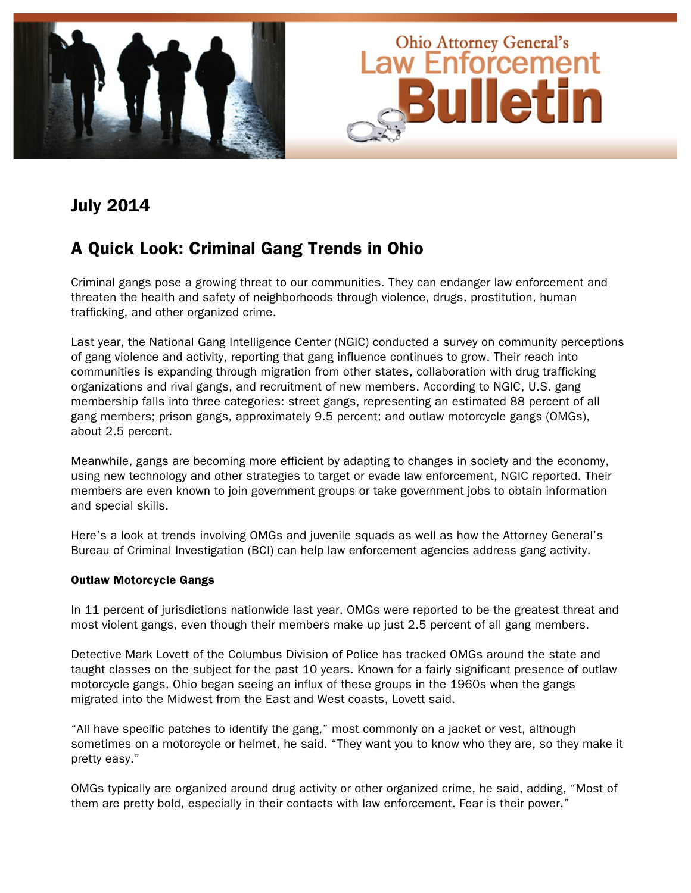

# July 2014

# A Quick Look: Criminal Gang Trends in Ohio

Criminal gangs pose a growing threat to our communities. They can endanger law enforcement and threaten the health and safety of neighborhoods through violence, drugs, prostitution, human trafficking, and other organized crime.

Last year, the National Gang Intelligence Center (NGIC) conducted a survey on community perceptions of gang violence and activity, reporting that gang influence continues to grow. Their reach into communities is expanding through migration from other states, collaboration with drug trafficking organizations and rival gangs, and recruitment of new members. According to NGIC, U.S. gang membership falls into three categories: street gangs, representing an estimated 88 percent of all gang members; prison gangs, approximately 9.5 percent; and outlaw motorcycle gangs (OMGs), about 2.5 percent.

Meanwhile, gangs are becoming more efficient by adapting to changes in society and the economy, using new technology and other strategies to target or evade law enforcement, NGIC reported. Their members are even known to join government groups or take government jobs to obtain information and special skills.

Here's a look at trends involving OMGs and juvenile squads as well as how the Attorney General's Bureau of Criminal Investigation (BCI) can help law enforcement agencies address gang activity.

### Outlaw Motorcycle Gangs

In 11 percent of jurisdictions nationwide last year, OMGs were reported to be the greatest threat and most violent gangs, even though their members make up just 2.5 percent of all gang members.

Detective Mark Lovett of the Columbus Division of Police has tracked OMGs around the state and taught classes on the subject for the past 10 years. Known for a fairly significant presence of outlaw motorcycle gangs, Ohio began seeing an influx of these groups in the 1960s when the gangs migrated into the Midwest from the East and West coasts, Lovett said.

"All have specific patches to identify the gang," most commonly on a jacket or vest, although sometimes on a motorcycle or helmet, he said. "They want you to know who they are, so they make it pretty easy."

OMGs typically are organized around drug activity or other organized crime, he said, adding, "Most of them are pretty bold, especially in their contacts with law enforcement. Fear is their power."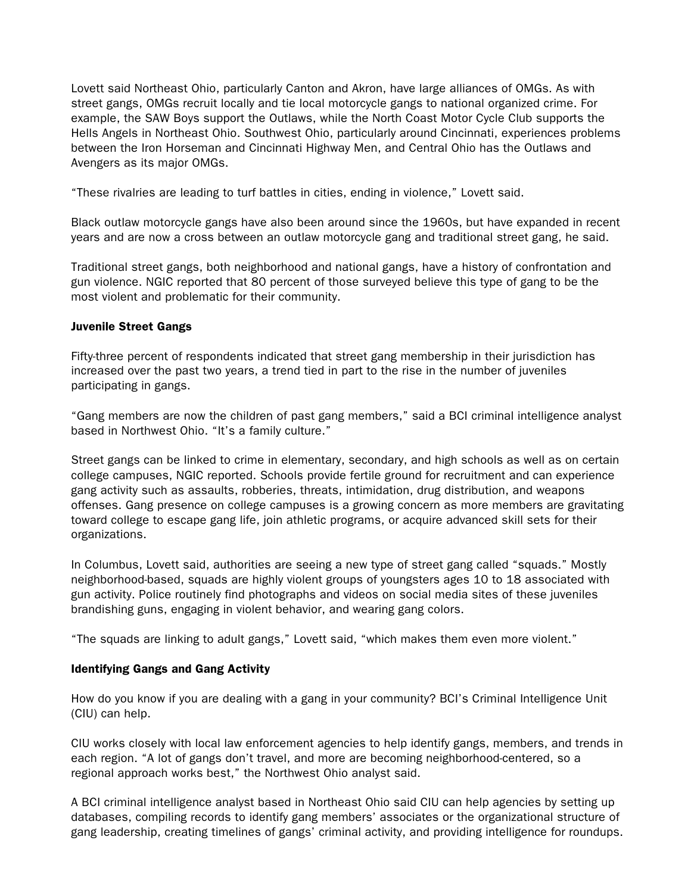Lovett said Northeast Ohio, particularly Canton and Akron, have large alliances of OMGs. As with street gangs, OMGs recruit locally and tie local motorcycle gangs to national organized crime. For example, the SAW Boys support the Outlaws, while the North Coast Motor Cycle Club supports the Hells Angels in Northeast Ohio. Southwest Ohio, particularly around Cincinnati, experiences problems between the Iron Horseman and Cincinnati Highway Men, and Central Ohio has the Outlaws and Avengers as its major OMGs.

"These rivalries are leading to turf battles in cities, ending in violence," Lovett said.

Black outlaw motorcycle gangs have also been around since the 1960s, but have expanded in recent years and are now a cross between an outlaw motorcycle gang and traditional street gang, he said.

Traditional street gangs, both neighborhood and national gangs, have a history of confrontation and gun violence. NGIC reported that 80 percent of those surveyed believe this type of gang to be the most violent and problematic for their community.

#### Juvenile Street Gangs

Fifty-three percent of respondents indicated that street gang membership in their jurisdiction has increased over the past two years, a trend tied in part to the rise in the number of juveniles participating in gangs.

"Gang members are now the children of past gang members," said a BCI criminal intelligence analyst based in Northwest Ohio. "It's a family culture."

Street gangs can be linked to crime in elementary, secondary, and high schools as well as on certain college campuses, NGIC reported. Schools provide fertile ground for recruitment and can experience gang activity such as assaults, robberies, threats, intimidation, drug distribution, and weapons offenses. Gang presence on college campuses is a growing concern as more members are gravitating toward college to escape gang life, join athletic programs, or acquire advanced skill sets for their organizations.

In Columbus, Lovett said, authorities are seeing a new type of street gang called "squads." Mostly neighborhood-based, squads are highly violent groups of youngsters ages 10 to 18 associated with gun activity. Police routinely find photographs and videos on social media sites of these juveniles brandishing guns, engaging in violent behavior, and wearing gang colors.

"The squads are linking to adult gangs," Lovett said, "which makes them even more violent."

### Identifying Gangs and Gang Activity

How do you know if you are dealing with a gang in your community? BCI's Criminal Intelligence Unit (CIU) can help.

CIU works closely with local law enforcement agencies to help identify gangs, members, and trends in each region. "A lot of gangs don't travel, and more are becoming neighborhood-centered, so a regional approach works best," the Northwest Ohio analyst said.

A BCI criminal intelligence analyst based in Northeast Ohio said CIU can help agencies by setting up databases, compiling records to identify gang members' associates or the organizational structure of gang leadership, creating timelines of gangs' criminal activity, and providing intelligence for roundups.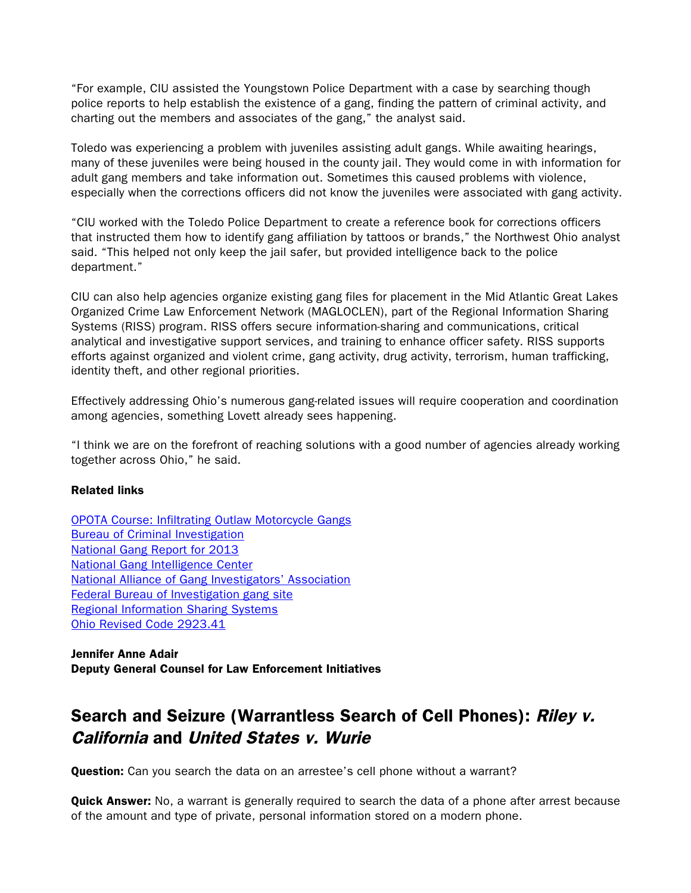"For example, CIU assisted the Youngstown Police Department with a case by searching though police reports to help establish the existence of a gang, finding the pattern of criminal activity, and charting out the members and associates of the gang," the analyst said.

Toledo was experiencing a problem with juveniles assisting adult gangs. While awaiting hearings, many of these juveniles were being housed in the county jail. They would come in with information for adult gang members and take information out. Sometimes this caused problems with violence, especially when the corrections officers did not know the juveniles were associated with gang activity.

"CIU worked with the Toledo Police Department to create a reference book for corrections officers that instructed them how to identify gang affiliation by tattoos or brands," the Northwest Ohio analyst said. "This helped not only keep the jail safer, but provided intelligence back to the police department."

CIU can also help agencies organize existing gang files for placement in the Mid Atlantic Great Lakes Organized Crime Law Enforcement Network (MAGLOCLEN), part of the Regional Information Sharing Systems (RISS) program. RISS offers secure information-sharing and communications, critical analytical and investigative support services, and training to enhance officer safety. RISS supports efforts against organized and violent crime, gang activity, drug activity, terrorism, human trafficking, identity theft, and other regional priorities.

Effectively addressing Ohio's numerous gang-related issues will require cooperation and coordination among agencies, something Lovett already sees happening.

"I think we are on the forefront of reaching solutions with a good number of agencies already working together across Ohio," he said.

#### Related links

[OPOTA Course: Infiltrating Outlaw Motorcycle Gangs](http://www.ohioattorneygeneral.gov/Law-Enforcement/Ohio-Peace-Officer-Training-Academy/Course-Catalog/Course-Search.aspx?searchtext=gangs&searchmode=anyword) [Bureau of Criminal Investigation](http://www.ohioattorneygeneral.gov/Law-Enforcement/Bureau-of-Criminal-Investigation) [National Gang Report for 2013](http://www.fbi.gov/stats-services/publications/national-gang-report-2013/view) [National Gang Intelligence Center](http://www.nationalgangcenter.gov/)  [National Alliance of Gang Investigators' Association](http://www.nagia.org/) [Federal Bureau of Investigation gang site](http://www.fbi.gov/about-us/investigate/vc_majorthefts/gangs) [Regional Information Sharing Systems](https://www.riss.net/default/Overview) [Ohio Revised Code 2923.41](http://codes.ohio.gov/orc/2923.41)

Jennifer Anne Adair Deputy General Counsel for Law Enforcement Initiatives

# Search and Seizure (Warrantless Search of Cell Phones): Riley v. California and United States v. Wurie

Question: Can you search the data on an arrestee's cell phone without a warrant?

**Quick Answer:** No, a warrant is generally required to search the data of a phone after arrest because of the amount and type of private, personal information stored on a modern phone.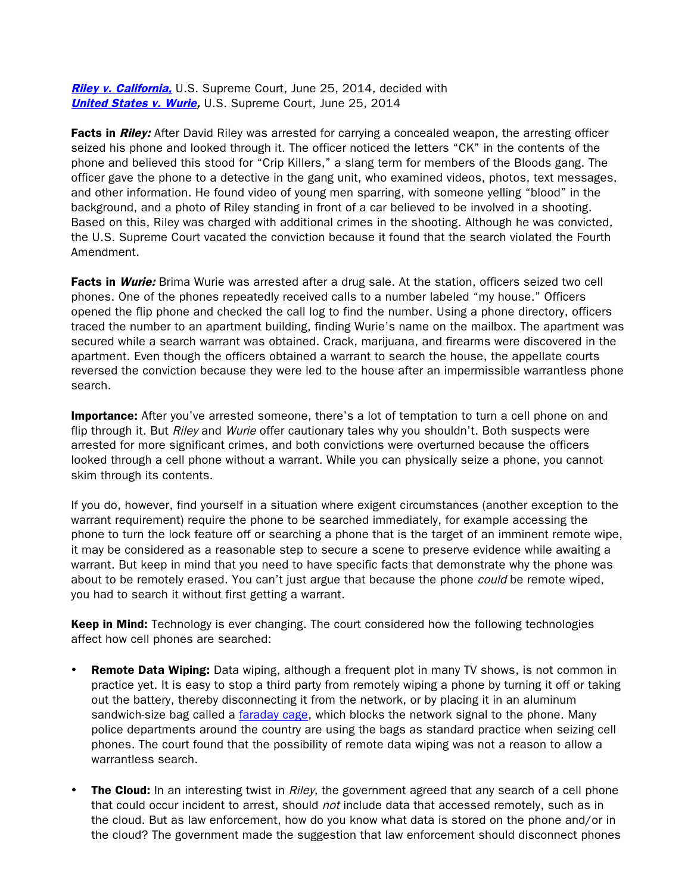[Riley v. California,](http://www.supremecourt.gov/opinions/13pdf/13-132_8l9c.pdf) U.S. Supreme Court, June 25, 2014, decided with [United States v. Wurie,](http://www.supremecourt.gov/opinions/13pdf/13-132_8l9c.pdf) U.S. Supreme Court, June 25, 2014

Facts in Riley: After David Riley was arrested for carrying a concealed weapon, the arresting officer seized his phone and looked through it. The officer noticed the letters "CK" in the contents of the phone and believed this stood for "Crip Killers," a slang term for members of the Bloods gang. The officer gave the phone to a detective in the gang unit, who examined videos, photos, text messages, and other information. He found video of young men sparring, with someone yelling "blood" in the background, and a photo of Riley standing in front of a car believed to be involved in a shooting. Based on this, Riley was charged with additional crimes in the shooting. Although he was convicted, the U.S. Supreme Court vacated the conviction because it found that the search violated the Fourth Amendment.

Facts in Wurie: Brima Wurie was arrested after a drug sale. At the station, officers seized two cell phones. One of the phones repeatedly received calls to a number labeled "my house." Officers opened the flip phone and checked the call log to find the number. Using a phone directory, officers traced the number to an apartment building, finding Wurie's name on the mailbox. The apartment was secured while a search warrant was obtained. Crack, marijuana, and firearms were discovered in the apartment. Even though the officers obtained a warrant to search the house, the appellate courts reversed the conviction because they were led to the house after an impermissible warrantless phone search.

Importance: After you've arrested someone, there's a lot of temptation to turn a cell phone on and flip through it. But *Riley* and *Wurie* offer cautionary tales why you shouldn't. Both suspects were arrested for more significant crimes, and both convictions were overturned because the officers looked through a cell phone without a warrant. While you can physically seize a phone, you cannot skim through its contents.

If you do, however, find yourself in a situation where exigent circumstances (another exception to the warrant requirement) require the phone to be searched immediately, for example accessing the phone to turn the lock feature off or searching a phone that is the target of an imminent remote wipe, it may be considered as a reasonable step to secure a scene to preserve evidence while awaiting a warrant. But keep in mind that you need to have specific facts that demonstrate why the phone was about to be remotely erased. You can't just argue that because the phone *could* be remote wiped, you had to search it without first getting a warrant.

**Keep in Mind:** Technology is ever changing. The court considered how the following technologies affect how cell phones are searched:

- **Remote Data Wiping:** Data wiping, although a frequent plot in many TV shows, is not common in practice yet. It is easy to stop a third party from remotely wiping a phone by turning it off or taking out the battery, thereby disconnecting it from the network, or by placing it in an aluminum sandwich-size bag called a [faraday cage,](http://science.howstuffworks.com/faraday-cage.htm) which blocks the network signal to the phone. Many police departments around the country are using the bags as standard practice when seizing cell phones. The court found that the possibility of remote data wiping was not a reason to allow a warrantless search.
- **The Cloud:** In an interesting twist in *Riley*, the government agreed that any search of a cell phone that could occur incident to arrest, should not include data that accessed remotely, such as in the cloud. But as law enforcement, how do you know what data is stored on the phone and/or in the cloud? The government made the suggestion that law enforcement should disconnect phones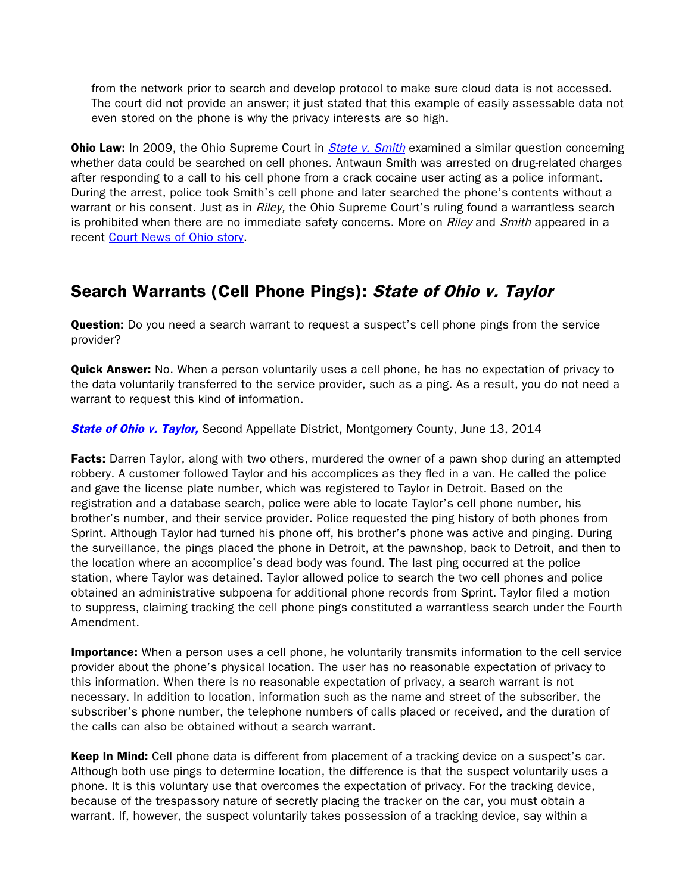from the network prior to search and develop protocol to make sure cloud data is not accessed. The court did not provide an answer; it just stated that this example of easily assessable data not even stored on the phone is why the privacy interests are so high.

**Ohio Law:** In 2009, the Ohio Supreme Court in *[State v. Smith](http://www.supremecourt.ohio.gov/rod/docs/pdf/0/2009/2009-Ohio-6426.pdf)* examined a similar question concerning whether data could be searched on cell phones. Antwaun Smith was arrested on drug-related charges after responding to a call to his cell phone from a crack cocaine user acting as a police informant. During the arrest, police took Smith's cell phone and later searched the phone's contents without a warrant or his consent. Just as in Riley, the Ohio Supreme Court's ruling found a warrantless search is prohibited when there are no immediate safety concerns. More on Riley and Smith appeared in a recent [Court News of Ohio story.](http://www.courtnewsohio.gov/cases/2014/SCO/cellphonesCase_071514.asp#.U8acd5RdWSp)

### Search Warrants (Cell Phone Pings): State of Ohio v. Taylor

**Question:** Do you need a search warrant to request a suspect's cell phone pings from the service provider?

**Quick Answer:** No. When a person voluntarily uses a cell phone, he has no expectation of privacy to the data voluntarily transferred to the service provider, such as a ping. As a result, you do not need a warrant to request this kind of information.

#### **[State of Ohio v. Taylor,](http://www.sconet.state.oh.us/rod/docs/pdf/2/2014/2014-ohio-2550.pdf)** Second Appellate District, Montgomery County, June 13, 2014

Facts: Darren Taylor, along with two others, murdered the owner of a pawn shop during an attempted robbery. A customer followed Taylor and his accomplices as they fled in a van. He called the police and gave the license plate number, which was registered to Taylor in Detroit. Based on the registration and a database search, police were able to locate Taylor's cell phone number, his brother's number, and their service provider. Police requested the ping history of both phones from Sprint. Although Taylor had turned his phone off, his brother's phone was active and pinging. During the surveillance, the pings placed the phone in Detroit, at the pawnshop, back to Detroit, and then to the location where an accomplice's dead body was found. The last ping occurred at the police station, where Taylor was detained. Taylor allowed police to search the two cell phones and police obtained an administrative subpoena for additional phone records from Sprint. Taylor filed a motion to suppress, claiming tracking the cell phone pings constituted a warrantless search under the Fourth Amendment.

**Importance:** When a person uses a cell phone, he voluntarily transmits information to the cell service provider about the phone's physical location. The user has no reasonable expectation of privacy to this information. When there is no reasonable expectation of privacy, a search warrant is not necessary. In addition to location, information such as the name and street of the subscriber, the subscriber's phone number, the telephone numbers of calls placed or received, and the duration of the calls can also be obtained without a search warrant.

Keep In Mind: Cell phone data is different from placement of a tracking device on a suspect's car. Although both use pings to determine location, the difference is that the suspect voluntarily uses a phone. It is this voluntary use that overcomes the expectation of privacy. For the tracking device, because of the trespassory nature of secretly placing the tracker on the car, you must obtain a warrant. If, however, the suspect voluntarily takes possession of a tracking device, say within a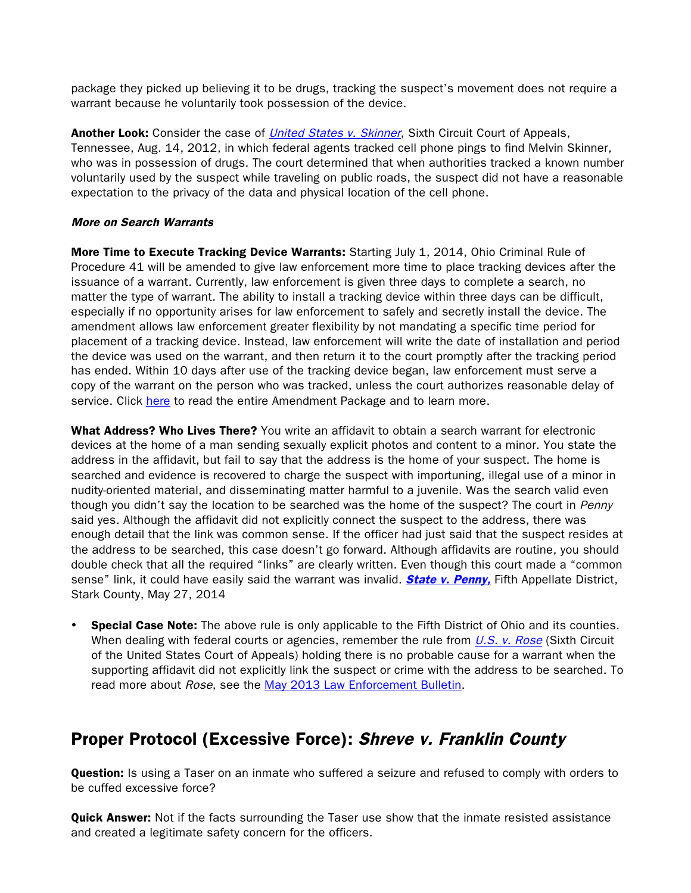package they picked up believing it to be drugs, tracking the suspect's movement does not require a warrant because he voluntarily took possession of the device.

Another Look: Consider the case of *[United States v. Skinner](http://scholar.google.com/scholar_case?case=5618105895154761575&q=+690+F.3d+772&hl=en&as_sdt=6,36)*, Sixth Circuit Court of Appeals, Tennessee, Aug. 14, 2012, in which federal agents tracked cell phone pings to find Melvin Skinner, who was in possession of drugs. The court determined that when authorities tracked a known number voluntarily used by the suspect while traveling on public roads, the suspect did not have a reasonable expectation to the privacy of the data and physical location of the cell phone.

#### More on Search Warrants

More Time to Execute Tracking Device Warrants: Starting July 1, 2014, Ohio Criminal Rule of Procedure 41 will be amended to give law enforcement more time to place tracking devices after the issuance of a warrant. Currently, law enforcement is given three days to complete a search, no matter the type of warrant. The ability to install a tracking device within three days can be difficult, especially if no opportunity arises for law enforcement to safely and secretly install the device. The amendment allows law enforcement greater flexibility by not mandating a specific time period for placement of a tracking device. Instead, law enforcement will write the date of installation and period the device was used on the warrant, and then return it to the court promptly after the tracking period has ended. Within 10 days after use of the tracking device began, law enforcement must serve a copy of the warrant on the person who was tracked, unless the court authorizes reasonable delay of service. Click [here](http://www.courtnewsohio.gov/happening/2014/ruleAmendPracProc_062314.asp) to read the entire Amendment Package and to learn more.

What Address? Who Lives There? You write an affidavit to obtain a search warrant for electronic devices at the home of a man sending sexually explicit photos and content to a minor. You state the address in the affidavit, but fail to say that the address is the home of your suspect. The home is searched and evidence is recovered to charge the suspect with importuning, illegal use of a minor in nudity-oriented material, and disseminating matter harmful to a juvenile. Was the search valid even though you didn't say the location to be searched was the home of the suspect? The court in Penny said yes. Although the affidavit did not explicitly connect the suspect to the address, there was enough detail that the link was common sense. If the officer had just said that the suspect resides at the address to be searched, this case doesn't go forward. Although affidavits are routine, you should double check that all the required "links" are clearly written. Even though this court made a "common sense" link, it could have easily said the warrant was invalid. **[State v. Penny,](http://www.sconet.state.oh.us/rod/docs/pdf/5/2014/2014-ohio-2293.pdf)** Fifth Appellate District, Stark County, May 27, 2014

**Special Case Note:** The above rule is only applicable to the Fifth District of Ohio and its counties. When dealing with federal courts or agencies, remember the rule from  $U.S.$  v. Rose (Sixth Circuit of the United States Court of Appeals) holding there is no probable cause for a warrant when the supporting affidavit did not explicitly link the suspect or crime with the address to be searched. To read more about Rose, see the [May 2013 Law Enforcement Bulletin.](http://www.ohioattorneygeneral.gov/Files/Publications/Publications-for-Law-Enforcement/Law-Enforcement-Bulletin/Law-Enforcement-Bulletin-May-2013)

## Proper Protocol (Excessive Force): Shreve v. Franklin County

**Question:** Is using a Taser on an inmate who suffered a seizure and refused to comply with orders to be cuffed excessive force?

**Quick Answer:** Not if the facts surrounding the Taser use show that the inmate resisted assistance and created a legitimate safety concern for the officers.